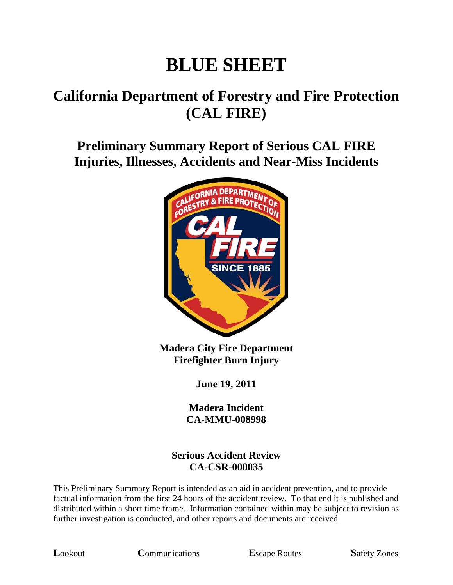# **BLUE SHEET**

## **California Department of Forestry and Fire Protection (CAL FIRE)**

**Preliminary Summary Report of Serious CAL FIRE Injuries, Illnesses, Accidents and Near-Miss Incidents** 



**Madera City Fire Department Firefighter Burn Injury** 

**June 19, 2011** 

**Madera Incident CA-MMU-008998** 

#### **Serious Accident Review CA-CSR-000035**

This Preliminary Summary Report is intended as an aid in accident prevention, and to provide factual information from the first 24 hours of the accident review. To that end it is published and distributed within a short time frame. Information contained within may be subject to revision as further investigation is conducted, and other reports and documents are received.

**L**ookout **C**ommunications **E**scape Routes **S**afety Zones